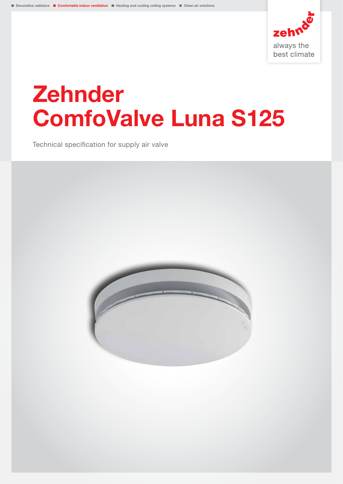

# Zehnder ComfoValve Luna S125

Technical specification for supply air valve

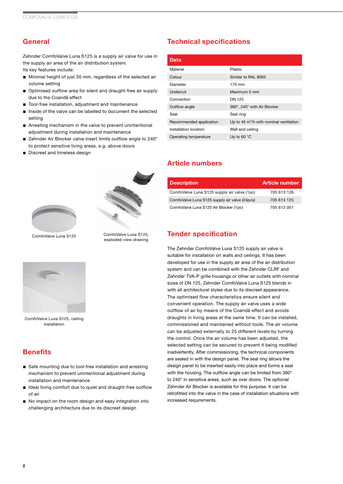## **General**

Zehnder ComfoValve Luna S125 is a supply air valve for use in the supply air area of the air distribution system.

Its key features include:

- Minimal height of just 30 mm, regardless of the selected air volume setting
- Optimised outflow area for silent and draught-free air supply due to the Coandă effect
- Tool-free installation, adjustment and maintenance
- Inside of the valve can be labelled to document the selected setting
- Arresting mechanism in the valve to prevent unintentional adjustment during installation and maintenance
- Zehnder Air Blocker valve insert limits outflow angle to 240° to protect sensitive living areas, e.g. above doors
- Discreet and timeless design



ComfoValve Luna S125 ComfoValve Luna S125, exploded-view drawing



ComfoValve Luna S125, ceiling installation

#### **Benefits**

- Safe mounting due to tool-free installation and arresting mechanism to prevent unintentional adjustment during installation and maintenance
- Ideal living comfort due to quiet and draught-free outflow of air
- No impact on the room design and easy integration into challenging architecture due to its discreet design

## Technical specifications

| Data                    |                                                     |
|-------------------------|-----------------------------------------------------|
| Material                | Plastic                                             |
| Colour                  | Similar to RAL 9003                                 |
| Diameter                | $170 \text{ mm}$                                    |
| Undercut                | Maximum 5 mm                                        |
| Connection              | DN 125                                              |
| Outflow angle           | 360°, 240° with Air Blocker                         |
| Seal                    | Seal ring                                           |
| Recommended application | Up to 45 m <sup>3</sup> /h with nominal ventilation |
| Installation location   | Wall and ceiling                                    |
| Operating temperature   | Up to 60 $\degree$ C                                |

#### Article numbers

| <b>Description</b>                            | <b>Article number</b> |
|-----------------------------------------------|-----------------------|
| ComfoValve Luna S125 supply air valve (1pc)   | 705 613 126           |
| ComfoValve Luna S125 supply air valve (24pcs) | 705 613 125           |
| ComfoValve Luna S125 Air Blocker (1pc)        | 705 613 001           |

#### Tender specification

The Zehnder ComfoValve Luna S125 supply air valve is suitable for installation on walls and ceilings. It has been developed for use in the supply air area of the air distribution system and can be combined with the Zehnder CLRF and Zehnder TVA-P grille housings or other air outlets with nominal sizes of DN 125. Zehnder ComfoValve Luna S125 blends in with all architectural styles due to its discreet appearance. The optimised flow characteristics ensure silent and convenient operation. The supply air valve uses a wide outflow of air by means of the Coandă effect and avoids draughts in living areas at the same time. It can be installed, commissioned and maintained without tools. The air volume can be adjusted externally to 25 different levels by turning the control. Once the air volume has been adjusted, the selected setting can be secured to prevent it being modified inadvertently. After commissioning, the technical components are sealed in with the design panel. The seal ring allows the design panel to be inserted easily into place and forms a seal with the housing. The outflow angle can be limited from 360° to 240° in sensitive areas, such as over doors. The optional Zehnder Air Blocker is available for this purpose. It can be retrofitted into the valve in the case of installation situations with increased requirements.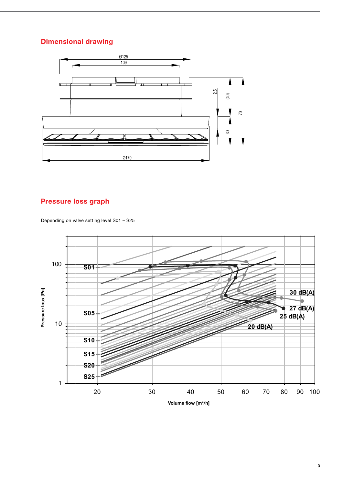#### Dimensional drawing



# Pressure loss graph

Depending on valve setting level S01 – S25